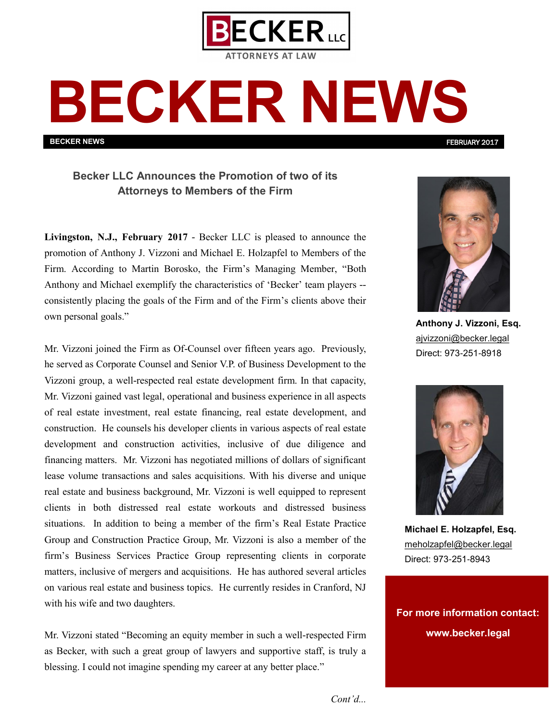

## **BECKER NEWS**

**BECKER NEWS**

**Becker LLC Announces the Promotion of two of its Attorneys to Members of the Firm** 

**Livingston, N.J., February 2017** - Becker LLC is pleased to announce the promotion of Anthony J. Vizzoni and Michael E. Holzapfel to Members of the Firm. According to Martin Borosko, the Firm's Managing Member, "Both Anthony and Michael exemplify the characteristics of 'Becker' team players - consistently placing the goals of the Firm and of the Firm's clients above their own personal goals."

Mr. Vizzoni joined the Firm as Of-Counsel over fifteen years ago. Previously, he served as Corporate Counsel and Senior V.P. of Business Development to the Vizzoni group, a well-respected real estate development firm. In that capacity, Mr. Vizzoni gained vast legal, operational and business experience in all aspects of real estate investment, real estate financing, real estate development, and construction. He counsels his developer clients in various aspects of real estate development and construction activities, inclusive of due diligence and financing matters. Mr. Vizzoni has negotiated millions of dollars of significant lease volume transactions and sales acquisitions. With his diverse and unique real estate and business background, Mr. Vizzoni is well equipped to represent clients in both distressed real estate workouts and distressed business situations. In addition to being a member of the firm's Real Estate Practice Group and Construction Practice Group, Mr. Vizzoni is also a member of the firm's Business Services Practice Group representing clients in corporate matters, inclusive of mergers and acquisitions. He has authored several articles on various real estate and business topics. He currently resides in Cranford, NJ with his wife and two daughters.

Mr. Vizzoni stated "Becoming an equity member in such a well-respected Firm as Becker, with such a great group of lawyers and supportive staff, is truly a blessing. I could not imagine spending my career at any better place."



FEBRUARY 2017

**Anthony J. Vizzoni, Esq.** [ajvizzoni@becker.legal](mailto:ajvizzoni@becker.legal?subject=Promotion%20Announcement) Direct: 973-251-8918



**Michael E. Holzapfel, Esq.** [meholzapfel@becker.legal](mailto:meholzapfel@becker.legal?subject=Promotion%20Announcement) Direct: 973-251-8943